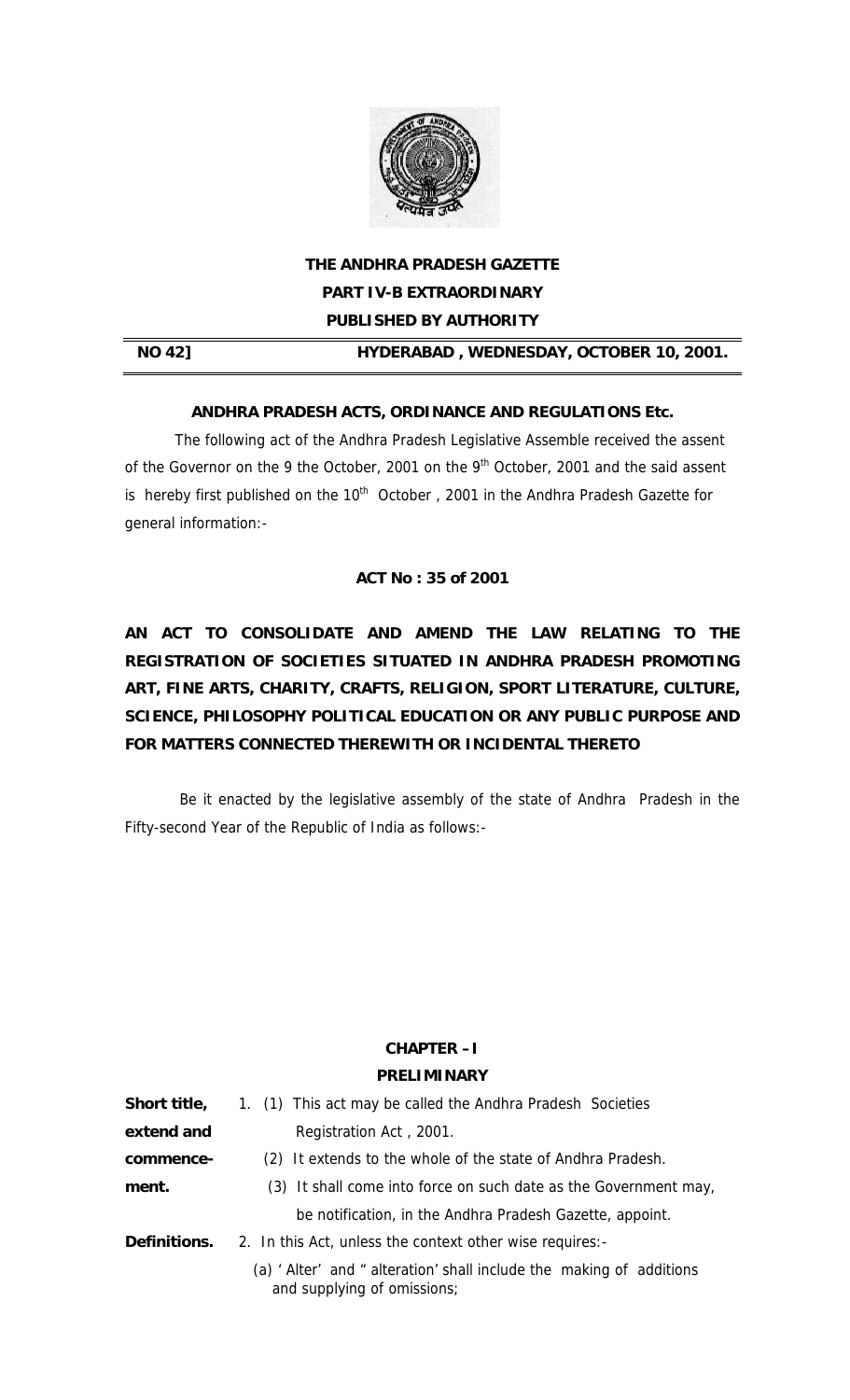

# **THE ANDHRA PRADESH GAZETTE PART IV-B EXTRAORDINARY PUBLISHED BY AUTHORITY**

**NO 42] HYDERABAD , WEDNESDAY, OCTOBER 10, 2001.** 

### **ANDHRA PRADESH ACTS, ORDINANCE AND REGULATIONS Etc.**

The following act of the Andhra Pradesh Legislative Assemble received the assent of the Governor on the 9 the October, 2001 on the  $9<sup>th</sup>$  October, 2001 and the said assent is hereby first published on the  $10^{th}$  October , 2001 in the Andhra Pradesh Gazette for general information:-

### **ACT No : 35 of 2001**

**AN ACT TO CONSOLIDATE AND AMEND THE LAW RELATING TO THE REGISTRATION OF SOCIETIES SITUATED IN ANDHRA PRADESH PROMOTING ART, FINE ARTS, CHARITY, CRAFTS, RELIGION, SPORT LITERATURE, CULTURE, SCIENCE, PHILOSOPHY POLITICAL EDUCATION OR ANY PUBLIC PURPOSE AND FOR MATTERS CONNECTED THEREWITH OR INCIDENTAL THERETO** 

 Be it enacted by the legislative assembly of the state of Andhra Pradesh in the Fifty-second Year of the Republic of India as follows:-

### **CHAPTER –I**

### **PRELIMINARY**

| Short title,        | 1. (1) This act may be called the Andhra Pradesh Societies                                          |  |  |  |  |  |
|---------------------|-----------------------------------------------------------------------------------------------------|--|--|--|--|--|
| extend and          | Registration Act, 2001.                                                                             |  |  |  |  |  |
| commence-           | (2) It extends to the whole of the state of Andhra Pradesh.                                         |  |  |  |  |  |
| ment.               | (3) It shall come into force on such date as the Government may,                                    |  |  |  |  |  |
|                     | be notification, in the Andhra Pradesh Gazette, appoint.                                            |  |  |  |  |  |
| <b>Definitions.</b> | 2. In this Act, unless the context other wise requires:-                                            |  |  |  |  |  |
|                     | (a) ' Alter' and " alteration' shall include the making of additions<br>and supplying of omissions; |  |  |  |  |  |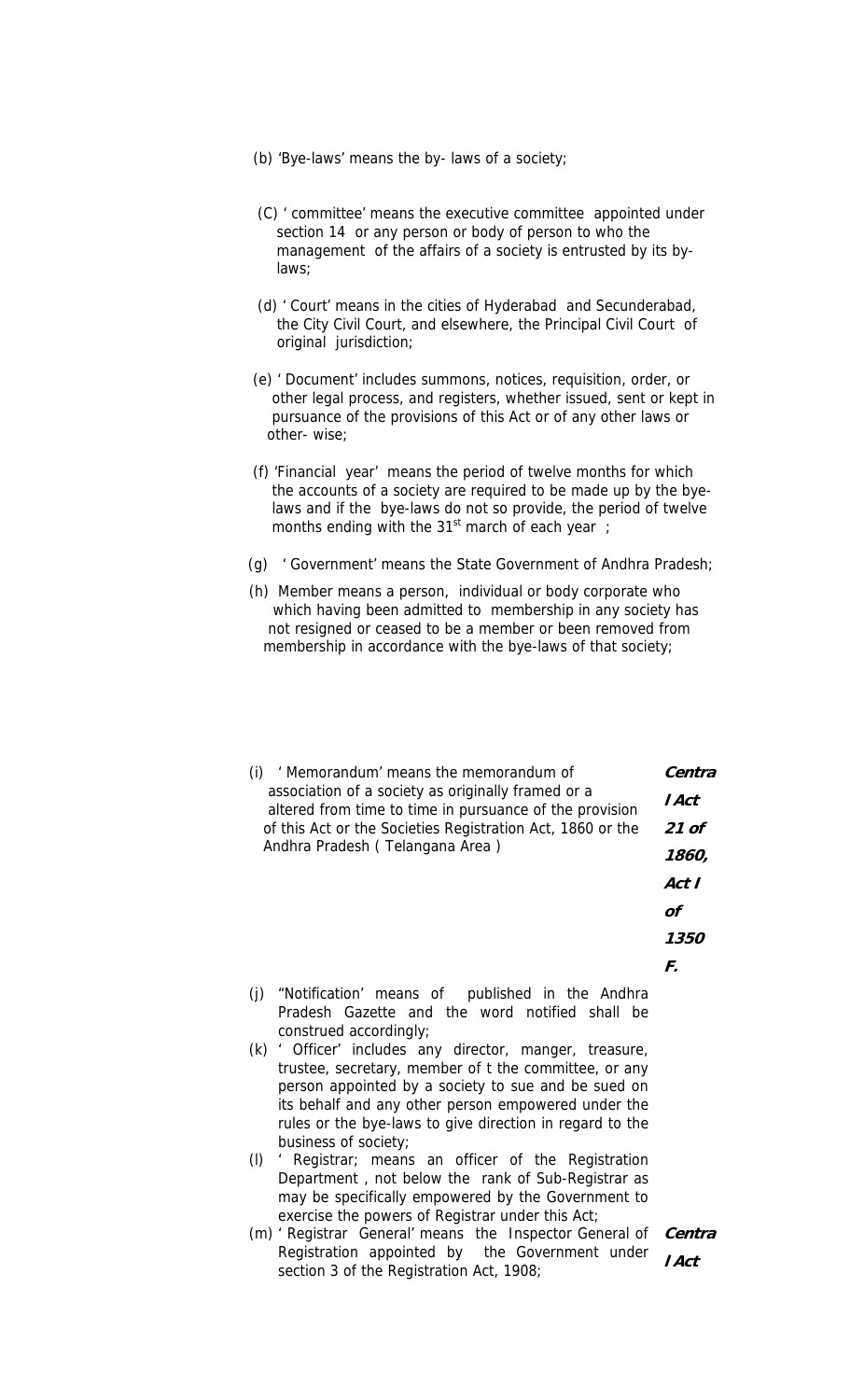- (b) 'Bye-laws' means the by- laws of a society;
- (C) ' committee' means the executive committee appointed under section 14 or any person or body of person to who the management of the affairs of a society is entrusted by its by laws;
- (d) ' Court' means in the cities of Hyderabad and Secunderabad, the City Civil Court, and elsewhere, the Principal Civil Court of original jurisdiction;
- (e) ' Document' includes summons, notices, requisition, order, or other legal process, and registers, whether issued, sent or kept in pursuance of the provisions of this Act or of any other laws or other- wise;
- (f) 'Financial year' means the period of twelve months for which the accounts of a society are required to be made up by the bye laws and if the bye-laws do not so provide, the period of twelve months ending with the  $31<sup>st</sup>$  march of each year;
- (g) ' Government' means the State Government of Andhra Pradesh;
- (h) Member means a person, individual or body corporate who which having been admitted to membership in any society has not resigned or ceased to be a member or been removed from membership in accordance with the bye-laws of that society;

| (i)                             | ' Memorandum' means the memorandum of                                                                                       |       |  |  |  |
|---------------------------------|-----------------------------------------------------------------------------------------------------------------------------|-------|--|--|--|
|                                 | association of a society as originally framed or a<br>altered from time to time in pursuance of the provision               | l Act |  |  |  |
|                                 | of this Act or the Societies Registration Act, 1860 or the                                                                  |       |  |  |  |
| Andhra Pradesh (Telangana Area) | 1860,                                                                                                                       |       |  |  |  |
|                                 |                                                                                                                             | Act I |  |  |  |
|                                 |                                                                                                                             | οf    |  |  |  |
|                                 |                                                                                                                             | 1350  |  |  |  |
|                                 |                                                                                                                             | F.    |  |  |  |
| (i)                             | "Notification' means of published in the Andhra<br>Pradesh Gazette and the word notified shall be<br>construed accordingly; |       |  |  |  |
|                                 | (k) ' Officer' includes any director manger<br>treasure                                                                     |       |  |  |  |

- Officer' includes any director, manger, treasure, trustee, secretary, member of t the committee, or any person appointed by a society to sue and be sued on its behalf and any other person empowered under the rules or the bye-laws to give direction in regard to the business of society;
- (l) ' Registrar; means an officer of the Registration Department , not below the rank of Sub-Registrar as may be specifically empowered by the Government to exercise the powers of Registrar under this Act;
- (m) ' Registrar General' means the Inspector General of Registration appointed by the Government under section 3 of the Registration Act, 1908; **Centra l Act**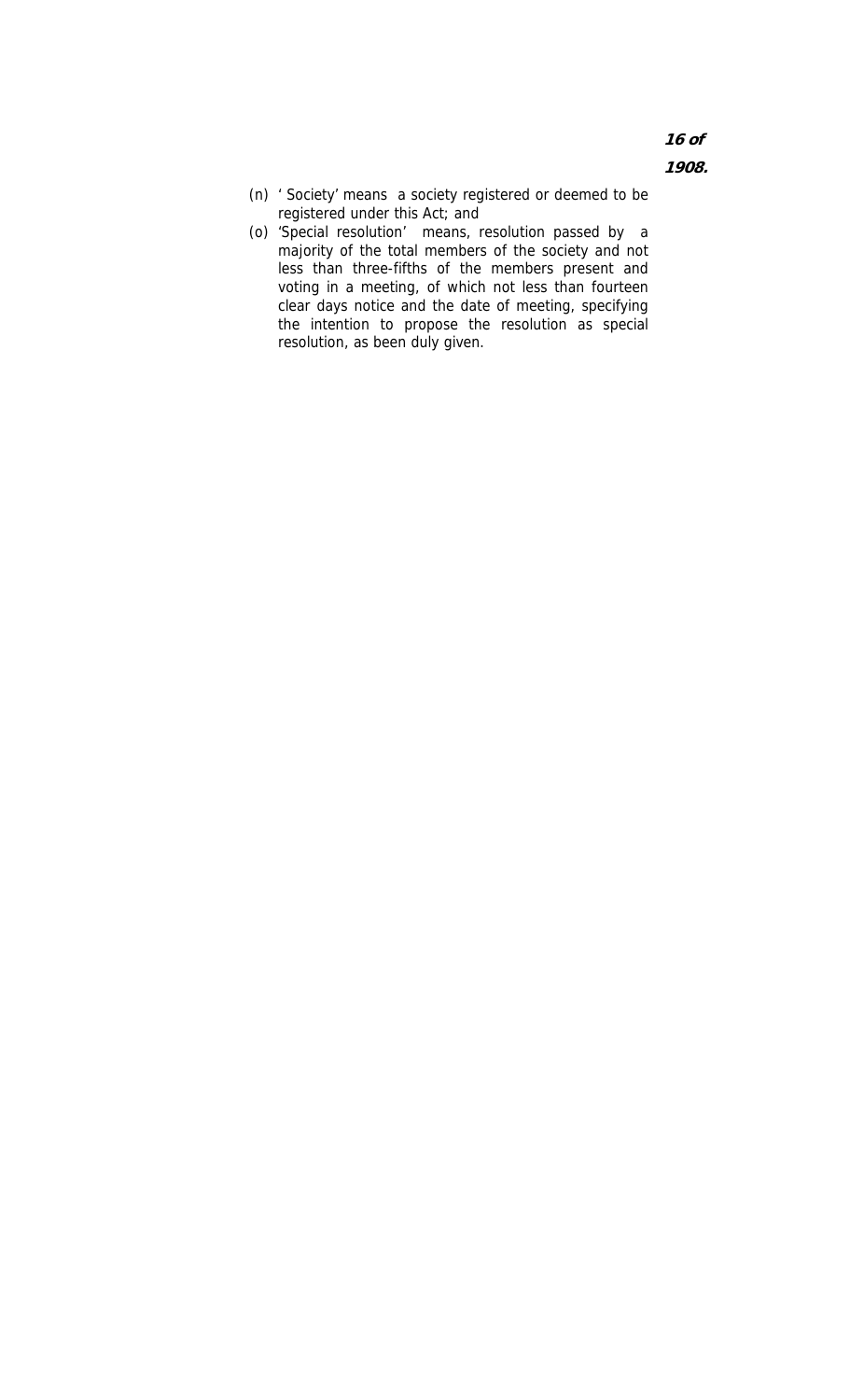**16 of 1908.** 

- (n) ' Society' means a society registered or deemed to be registered under this Act; and
- (o) 'Special resolution' means, resolution passed by a majority of the total members of the society and not less than three-fifths of the members present and voting in a meeting, of which not less than fourteen clear days notice and the date of meeting, specifying the intention to propose the resolution as special resolution, as been duly given.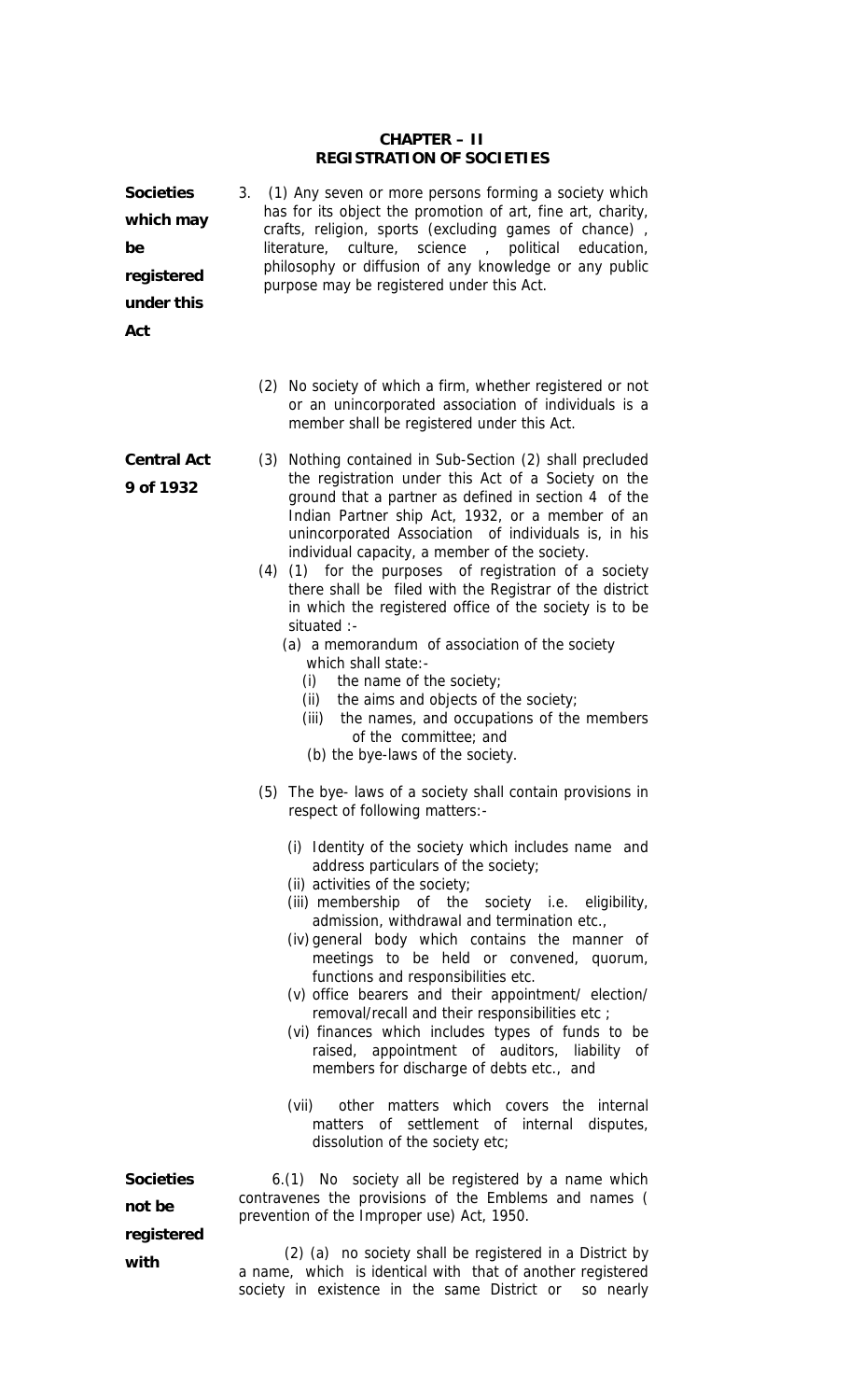#### **CHAPTER – II REGISTRATION OF SOCIETIES**

| <b>Societies</b><br>which may<br>be<br>registered<br>under this<br>Act | (1) Any seven or more persons forming a society which<br>3.<br>has for its object the promotion of art, fine art, charity,<br>crafts, religion, sports (excluding games of chance),<br>literature, culture, science,<br>political education,<br>philosophy or diffusion of any knowledge or any public<br>purpose may be registered under this Act.                                                                                                                                                                                                                                                                                                                                                                                                                                                                                                                     |  |  |  |  |  |
|------------------------------------------------------------------------|-------------------------------------------------------------------------------------------------------------------------------------------------------------------------------------------------------------------------------------------------------------------------------------------------------------------------------------------------------------------------------------------------------------------------------------------------------------------------------------------------------------------------------------------------------------------------------------------------------------------------------------------------------------------------------------------------------------------------------------------------------------------------------------------------------------------------------------------------------------------------|--|--|--|--|--|
|                                                                        | (2) No society of which a firm, whether registered or not<br>or an unincorporated association of individuals is a<br>member shall be registered under this Act.                                                                                                                                                                                                                                                                                                                                                                                                                                                                                                                                                                                                                                                                                                         |  |  |  |  |  |
| <b>Central Act</b><br>9 of 1932                                        | (3) Nothing contained in Sub-Section (2) shall precluded<br>the registration under this Act of a Society on the<br>ground that a partner as defined in section 4 of the<br>Indian Partner ship Act, 1932, or a member of an<br>unincorporated Association of individuals is, in his<br>individual capacity, a member of the society.<br>(4) (1) for the purposes of registration of a society<br>there shall be filed with the Registrar of the district<br>in which the registered office of the society is to be<br>situated :-<br>(a) a memorandum of association of the society<br>which shall state:-<br>(i)<br>the name of the society;<br>the aims and objects of the society;<br>(ii)<br>(iii) the names, and occupations of the members<br>of the committee; and<br>(b) the bye-laws of the society.                                                           |  |  |  |  |  |
|                                                                        | (5) The bye-laws of a society shall contain provisions in<br>respect of following matters:-<br>(i) Identity of the society which includes name and<br>address particulars of the society;<br>(ii) activities of the society;<br>(iii) membership of the society i.e. eligibility,<br>admission, withdrawal and termination etc.,<br>(iv) general body which contains the manner of<br>meetings to be held or convened, quorum,<br>functions and responsibilities etc.<br>(v) office bearers and their appointment/ election/<br>removal/recall and their responsibilities etc ;<br>(vi) finances which includes types of funds to be<br>raised, appointment of auditors, liability of<br>members for discharge of debts etc., and<br>(vii)<br>other matters which covers the internal<br>matters of settlement of internal disputes,<br>dissolution of the society etc; |  |  |  |  |  |
| <b>Societies</b><br>not be<br>registered                               | 6.(1) No society all be registered by a name which<br>contravenes the provisions of the Emblems and names (<br>prevention of the Improper use) Act, 1950.<br>(2) (a) no society shall be registered in a District by                                                                                                                                                                                                                                                                                                                                                                                                                                                                                                                                                                                                                                                    |  |  |  |  |  |
| with                                                                   | a name, which is identical with that of another registered                                                                                                                                                                                                                                                                                                                                                                                                                                                                                                                                                                                                                                                                                                                                                                                                              |  |  |  |  |  |

society in existence in the same District or so nearly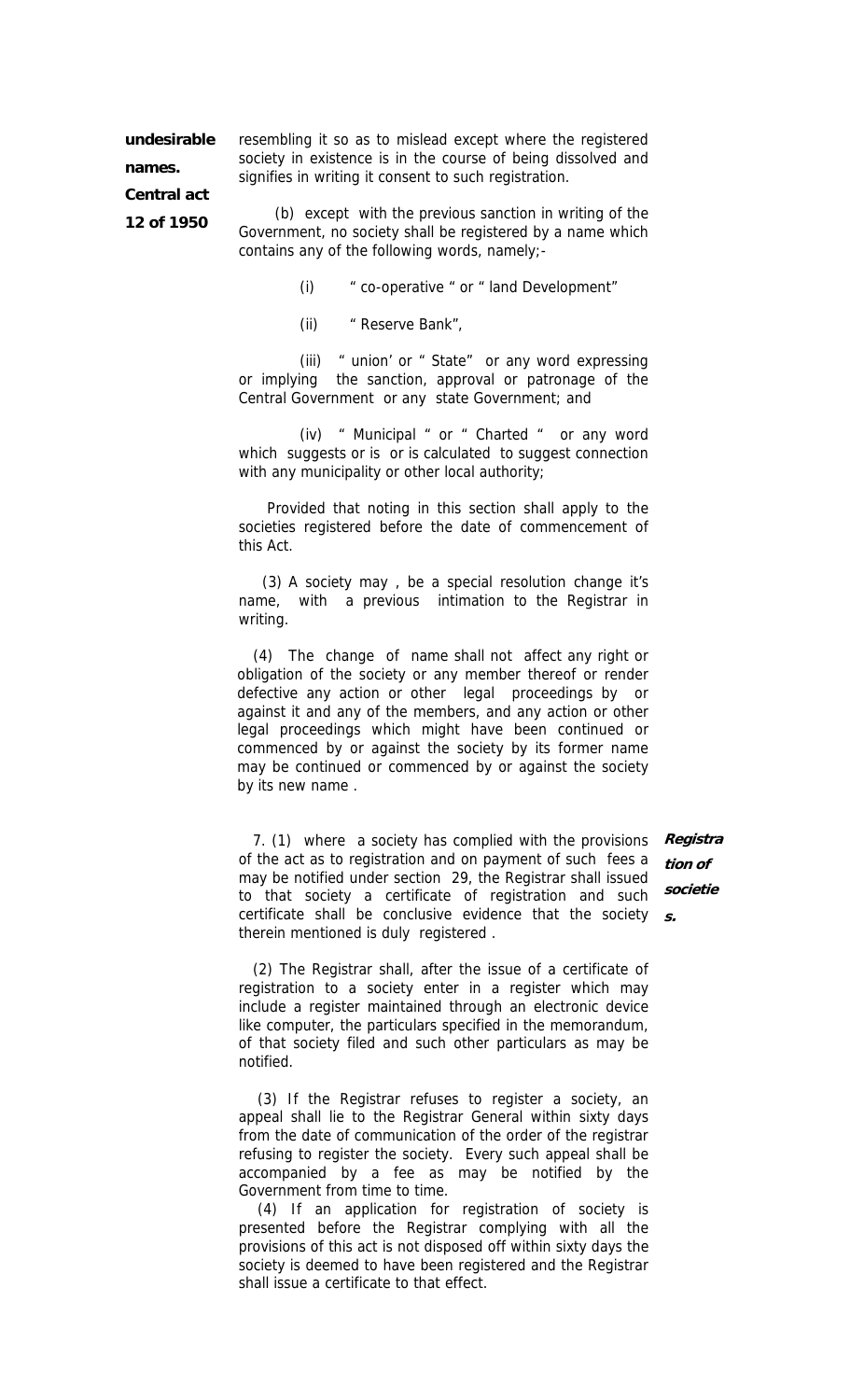**undesirable names.** 

resembling it so as to mislead except where the registered society in existence is in the course of being dissolved and signifies in writing it consent to such registration.

**Central act 12 of 1950** 

(b) except with the previous sanction in writing of the Government, no society shall be registered by a name which contains any of the following words, namely;-

(i) " co-operative " or " land Development"

(ii) " Reserve Bank",

(iii) " union' or " State" or any word expressing or implying the sanction, approval or patronage of the Central Government or any state Government; and

(iv) " Municipal " or " Charted " or any word which suggests or is or is calculated to suggest connection with any municipality or other local authority;

 Provided that noting in this section shall apply to the societies registered before the date of commencement of this Act.

(3) A society may , be a special resolution change it's name, with a previous intimation to the Registrar in writing.

(4) The change of name shall not affect any right or obligation of the society or any member thereof or render defective any action or other legal proceedings by or against it and any of the members, and any action or other legal proceedings which might have been continued or commenced by or against the society by its former name may be continued or commenced by or against the society by its new name .

 7. (1) where a society has complied with the provisions **Registra** of the act as to registration and on payment of such fees a may be notified under section 29, the Registrar shall issued to that society a certificate of registration and such certificate shall be conclusive evidence that the society **s.** therein mentioned is duly registered .

**tion of societie**

 (2) The Registrar shall, after the issue of a certificate of registration to a society enter in a register which may include a register maintained through an electronic device like computer, the particulars specified in the memorandum, of that society filed and such other particulars as may be notified.

 (3) If the Registrar refuses to register a society, an appeal shall lie to the Registrar General within sixty days from the date of communication of the order of the registrar refusing to register the society. Every such appeal shall be accompanied by a fee as may be notified by the Government from time to time.

 (4) If an application for registration of society is presented before the Registrar complying with all the provisions of this act is not disposed off within sixty days the society is deemed to have been registered and the Registrar shall issue a certificate to that effect.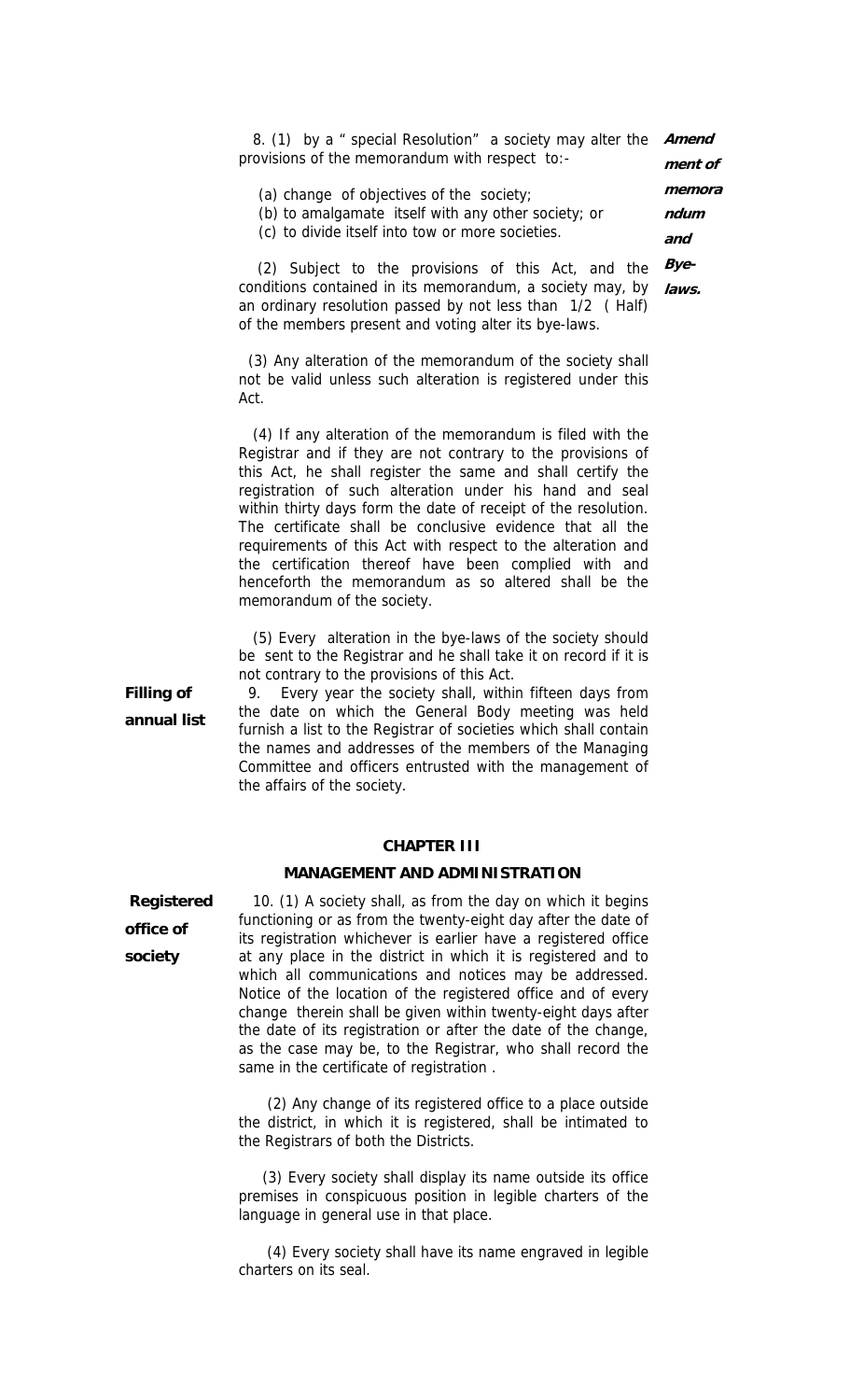8. (1) by a " special Resolution" a society may alter the **Amend** provisions of the memorandum with respect to: **ment of** 

| (a) change of objectives of the society;            | memora |
|-----------------------------------------------------|--------|
| (b) to amalgamate itself with any other society; or | ndum   |
| (a) ta albela lteal£ leta tarri an magna aaglatlag  |        |

**and** 

(c) to divide itself into tow or more societies.

 (2) Subject to the provisions of this Act, and the conditions contained in its memorandum, a society may, by an ordinary resolution passed by not less than 1/2 ( Half) of the members present and voting alter its bye-laws. **Byelaws.** 

 (3) Any alteration of the memorandum of the society shall not be valid unless such alteration is registered under this Act.

 (4) If any alteration of the memorandum is filed with the Registrar and if they are not contrary to the provisions of this Act, he shall register the same and shall certify the registration of such alteration under his hand and seal within thirty days form the date of receipt of the resolution. The certificate shall be conclusive evidence that all the requirements of this Act with respect to the alteration and the certification thereof have been complied with and henceforth the memorandum as so altered shall be the memorandum of the society.

 (5) Every alteration in the bye-laws of the society should be sent to the Registrar and he shall take it on record if it is not contrary to the provisions of this Act.

**Filling of annual list** 

 9. Every year the society shall, within fifteen days from the date on which the General Body meeting was held furnish a list to the Registrar of societies which shall contain the names and addresses of the members of the Managing Committee and officers entrusted with the management of the affairs of the society.

#### **CHAPTER III**

#### **MANAGEMENT AND ADMINISTRATION**

 **Registered office of society** 

 10. (1) A society shall, as from the day on which it begins functioning or as from the twenty-eight day after the date of its registration whichever is earlier have a registered office at any place in the district in which it is registered and to which all communications and notices may be addressed. Notice of the location of the registered office and of every change therein shall be given within twenty-eight days after the date of its registration or after the date of the change, as the case may be, to the Registrar, who shall record the same in the certificate of registration .

 (2) Any change of its registered office to a place outside the district, in which it is registered, shall be intimated to the Registrars of both the Districts.

 (3) Every society shall display its name outside its office premises in conspicuous position in legible charters of the language in general use in that place.

 (4) Every society shall have its name engraved in legible charters on its seal.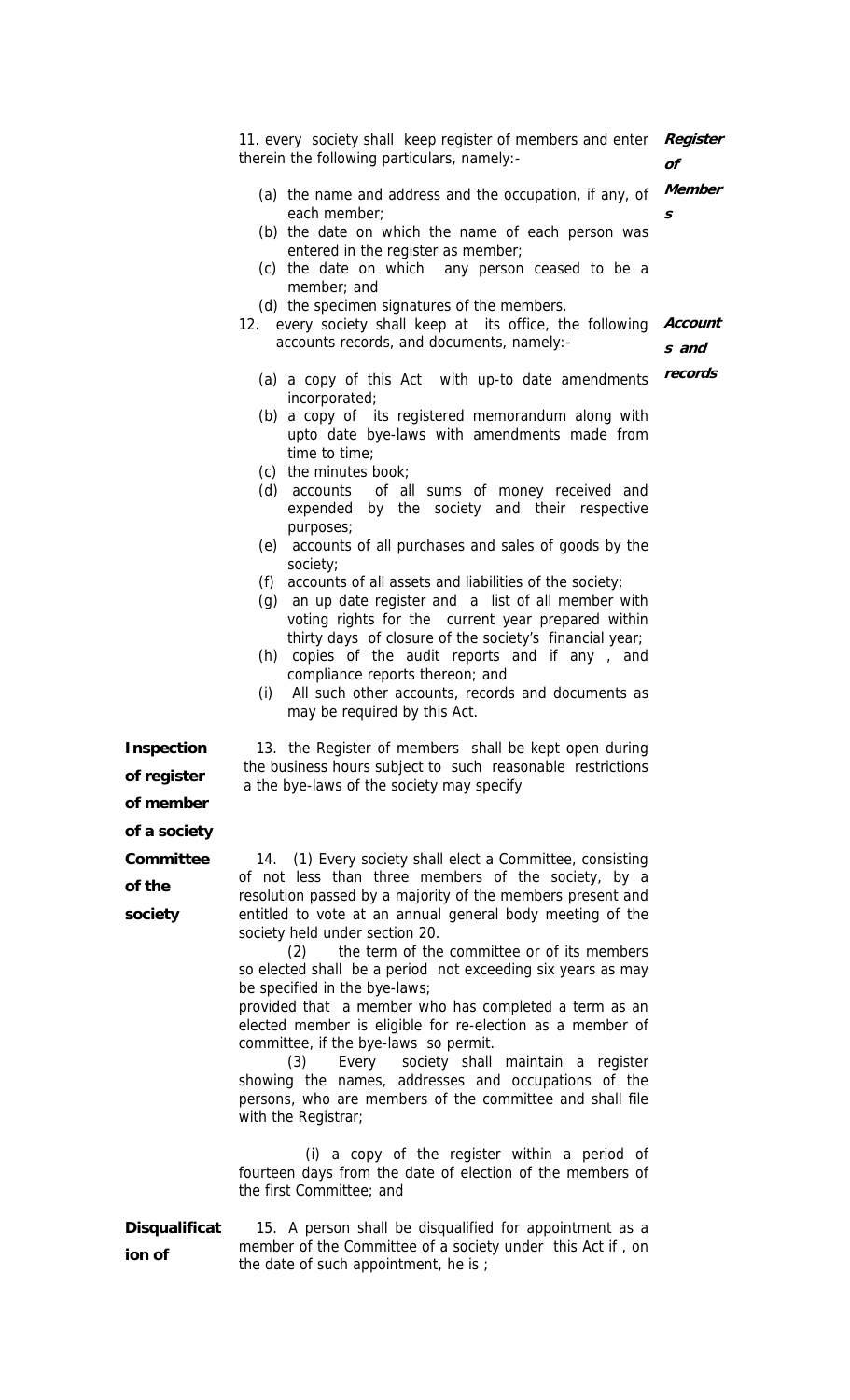11. every society shall keep register of members and enter therein the following particulars, namely:- (a) the name and address and the occupation, if any, of each member; (b) the date on which the name of each person was entered in the register as member; (c) the date on which any person ceased to be a member; and (d) the specimen signatures of the members. **Register of Member s**  12. every society shall keep at its office, the following accounts records, and documents, namely:- (a) a copy of this Act with up-to date amendments incorporated; (b) a copy of its registered memorandum along with upto date bye-laws with amendments made from time to time; (c) the minutes book; (d) accounts of all sums of money received and expended by the society and their respective purposes; (e) accounts of all purchases and sales of goods by the society; (f) accounts of all assets and liabilities of the society; (g) an up date register and a list of all member with voting rights for the current year prepared within thirty days of closure of the society's financial year; (h) copies of the audit reports and if any , and compliance reports thereon; and (i) All such other accounts, records and documents as may be required by this Act. **Account s and records Inspection**  13. the Register of members shall be kept open during the business hours subject to such reasonable restrictions a the bye-laws of the society may specify **of the society**  14. (1) Every society shall elect a Committee, consisting of not less than three members of the society, by a resolution passed by a majority of the members present and entitled to vote at an annual general body meeting of the society held under section 20. (2) the term of the committee or of its members so elected shall be a period not exceeding six years as may be specified in the bye-laws; provided that a member who has completed a term as an elected member is eligible for re-election as a member of committee, if the bye-laws so permit.

(3) Every society shall maintain a register showing the names, addresses and occupations of the persons, who are members of the committee and shall file with the Registrar;

 (i) a copy of the register within a period of fourteen days from the date of election of the members of the first Committee; and

### **Disqualificat ion of**

15. A person shall be disqualified for appointment as a member of the Committee of a society under this Act if , on the date of such appointment, he is ;

**of register of member of a society Committee**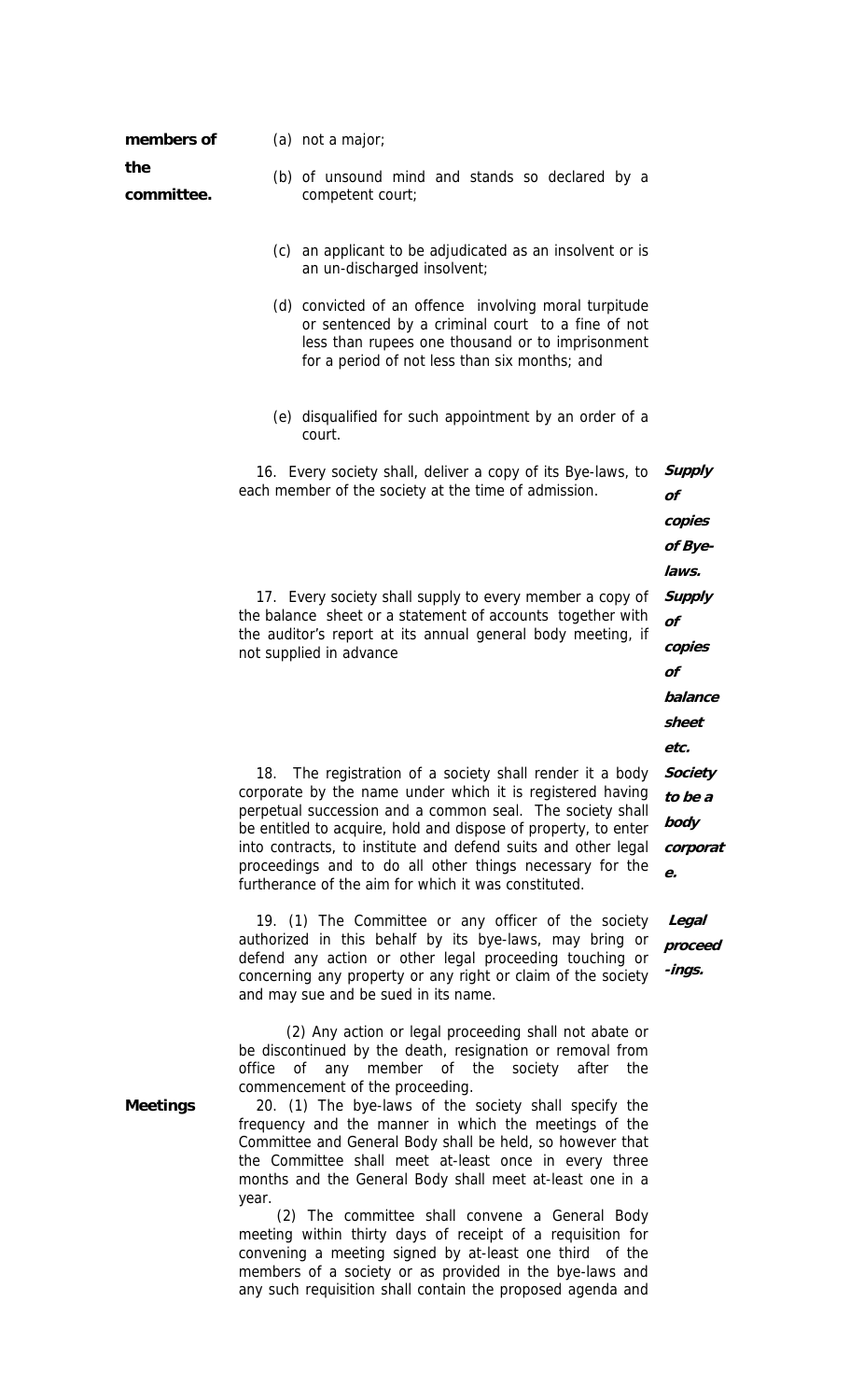| members of        |                                                                                                                                 | (a) not a major;                                                                                                                                                                                                |                 |  |  |  |  |
|-------------------|---------------------------------------------------------------------------------------------------------------------------------|-----------------------------------------------------------------------------------------------------------------------------------------------------------------------------------------------------------------|-----------------|--|--|--|--|
| the<br>committee. |                                                                                                                                 | (b) of unsound mind and stands so declared by a<br>competent court;                                                                                                                                             |                 |  |  |  |  |
|                   |                                                                                                                                 | (c) an applicant to be adjudicated as an insolvent or is<br>an un-discharged insolvent;                                                                                                                         |                 |  |  |  |  |
|                   |                                                                                                                                 | (d) convicted of an offence involving moral turpitude<br>or sentenced by a criminal court to a fine of not<br>less than rupees one thousand or to imprisonment<br>for a period of not less than six months; and |                 |  |  |  |  |
|                   |                                                                                                                                 | (e) disqualified for such appointment by an order of a<br>court.                                                                                                                                                |                 |  |  |  |  |
|                   |                                                                                                                                 | 16. Every society shall, deliver a copy of its Bye-laws, to                                                                                                                                                     | <b>Supply</b>   |  |  |  |  |
|                   |                                                                                                                                 | each member of the society at the time of admission.                                                                                                                                                            | of              |  |  |  |  |
|                   |                                                                                                                                 |                                                                                                                                                                                                                 | copies          |  |  |  |  |
|                   |                                                                                                                                 |                                                                                                                                                                                                                 | of Bye-         |  |  |  |  |
|                   |                                                                                                                                 |                                                                                                                                                                                                                 |                 |  |  |  |  |
|                   | 17. Every society shall supply to every member a copy of<br>the balance sheet or a statement of accounts together with          |                                                                                                                                                                                                                 |                 |  |  |  |  |
|                   | the auditor's report at its annual general body meeting, if<br>copies<br>not supplied in advance<br>of                          |                                                                                                                                                                                                                 |                 |  |  |  |  |
|                   |                                                                                                                                 |                                                                                                                                                                                                                 |                 |  |  |  |  |
|                   |                                                                                                                                 |                                                                                                                                                                                                                 | balance         |  |  |  |  |
|                   |                                                                                                                                 |                                                                                                                                                                                                                 | sheet           |  |  |  |  |
|                   |                                                                                                                                 |                                                                                                                                                                                                                 | etc.            |  |  |  |  |
|                   | 18.                                                                                                                             | The registration of a society shall render it a body<br>corporate by the name under which it is registered having                                                                                               | <b>Society</b>  |  |  |  |  |
|                   |                                                                                                                                 | perpetual succession and a common seal. The society shall                                                                                                                                                       | to be a<br>body |  |  |  |  |
|                   | be entitled to acquire, hold and dispose of property, to enter<br>into contracts, to institute and defend suits and other legal |                                                                                                                                                                                                                 |                 |  |  |  |  |
|                   |                                                                                                                                 | proceedings and to do all other things necessary for the<br>furtherance of the aim for which it was constituted.                                                                                                | corporat<br>e.  |  |  |  |  |
|                   |                                                                                                                                 | 19. (1) The Committee or any officer of the society                                                                                                                                                             | Legal           |  |  |  |  |
|                   |                                                                                                                                 | authorized in this behalf by its bye-laws, may bring or                                                                                                                                                         | proceed         |  |  |  |  |
|                   |                                                                                                                                 | defend any action or other legal proceeding touching or<br>concerning any property or any right or claim of the society                                                                                         | -ings.          |  |  |  |  |

 (2) Any action or legal proceeding shall not abate or be discontinued by the death, resignation or removal from office of any member of the society after the commencement of the proceeding.

and may sue and be sued in its name.

**Meetings** 20. (1) The bye-laws of the society shall specify the frequency and the manner in which the meetings of the Committee and General Body shall be held, so however that the Committee shall meet at-least once in every three months and the General Body shall meet at-least one in a year.

 (2) The committee shall convene a General Body meeting within thirty days of receipt of a requisition for convening a meeting signed by at-least one third of the members of a society or as provided in the bye-laws and any such requisition shall contain the proposed agenda and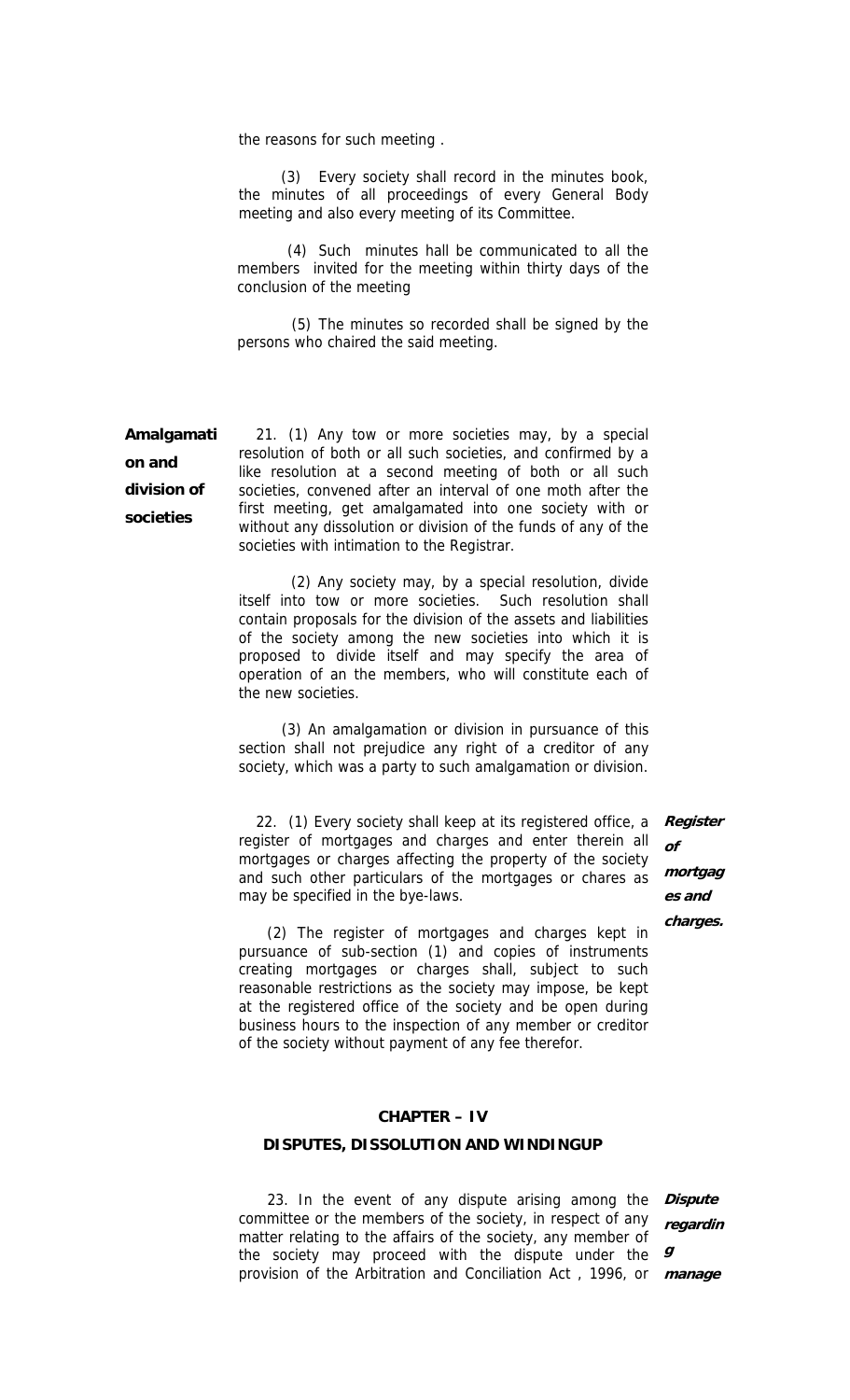the reasons for such meeting .

(3) Every society shall record in the minutes book, the minutes of all proceedings of every General Body meeting and also every meeting of its Committee.

(4) Such minutes hall be communicated to all the members invited for the meeting within thirty days of the conclusion of the meeting

(5) The minutes so recorded shall be signed by the persons who chaired the said meeting.

**Amalgamati on and division of societies**  21. (1) Any tow or more societies may, by a special resolution of both or all such societies, and confirmed by a like resolution at a second meeting of both or all such societies, convened after an interval of one moth after the first meeting, get amalgamated into one society with or without any dissolution or division of the funds of any of the societies with intimation to the Registrar.

> (2) Any society may, by a special resolution, divide itself into tow or more societies. Such resolution shall contain proposals for the division of the assets and liabilities of the society among the new societies into which it is proposed to divide itself and may specify the area of operation of an the members, who will constitute each of the new societies.

> (3) An amalgamation or division in pursuance of this section shall not prejudice any right of a creditor of any society, which was a party to such amalgamation or division.

22. (1) Every society shall keep at its registered office, a register of mortgages and charges and enter therein all mortgages or charges affecting the property of the society and such other particulars of the mortgages or chares as may be specified in the bye-laws.

 (2) The register of mortgages and charges kept in pursuance of sub-section (1) and copies of instruments creating mortgages or charges shall, subject to such reasonable restrictions as the society may impose, be kept at the registered office of the society and be open during business hours to the inspection of any member or creditor of the society without payment of any fee therefor.

### **CHAPTER – IV**

#### **DISPUTES, DISSOLUTION AND WINDINGUP**

 23. In the event of any dispute arising among the **Dispute**  committee or the members of the society, in respect of any matter relating to the affairs of the society, any member of the society may proceed with the dispute under the  $g$ provision of the Arbitration and Conciliation Act , 1996, or **manageregardin**

**Register of mortgag es and charges.**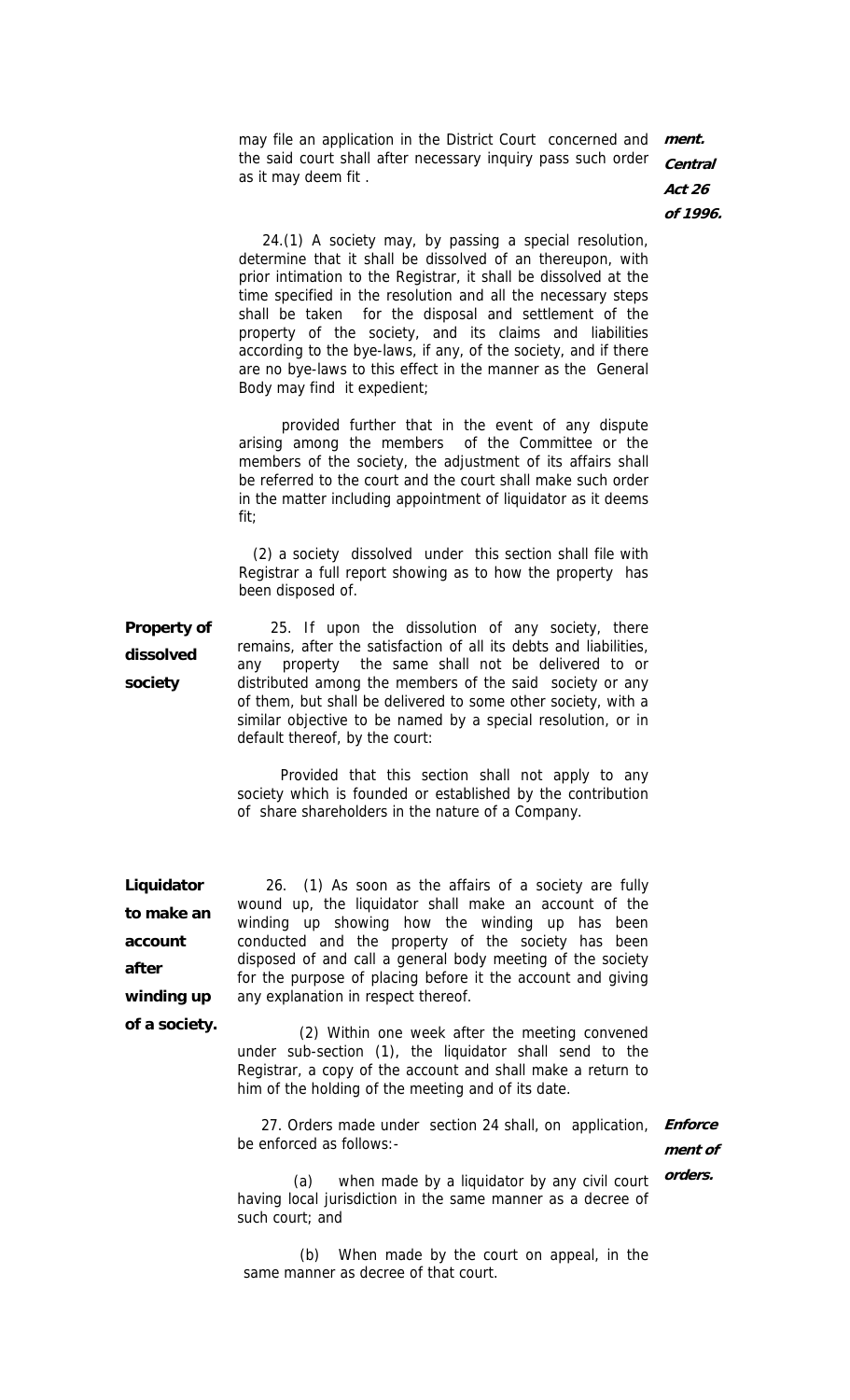may file an application in the District Court concerned and **ment.**  the said court shall after necessary inquiry pass such order as it may deem fit . **Central** 

**Act 26 of 1996.** 

 24.(1) A society may, by passing a special resolution, determine that it shall be dissolved of an thereupon, with prior intimation to the Registrar, it shall be dissolved at the time specified in the resolution and all the necessary steps shall be taken for the disposal and settlement of the property of the society, and its claims and liabilities according to the bye-laws, if any, of the society, and if there are no bye-laws to this effect in the manner as the General Body may find it expedient;

 provided further that in the event of any dispute arising among the members of the Committee or the members of the society, the adjustment of its affairs shall be referred to the court and the court shall make such order in the matter including appointment of liquidator as it deems fit;

 (2) a society dissolved under this section shall file with Registrar a full report showing as to how the property has been disposed of.

**Property of dissolved society**  25. If upon the dissolution of any society, there remains, after the satisfaction of all its debts and liabilities, any property the same shall not be delivered to or distributed among the members of the said society or any of them, but shall be delivered to some other society, with a similar objective to be named by a special resolution, or in default thereof, by the court:

> Provided that this section shall not apply to any society which is founded or established by the contribution of share shareholders in the nature of a Company.

**Liquidator to make an account after winding up of a society.** 

 26. (1) As soon as the affairs of a society are fully wound up, the liquidator shall make an account of the winding up showing how the winding up has been conducted and the property of the society has been disposed of and call a general body meeting of the society for the purpose of placing before it the account and giving any explanation in respect thereof.

 (2) Within one week after the meeting convened under sub-section (1), the liquidator shall send to the Registrar, a copy of the account and shall make a return to him of the holding of the meeting and of its date.

 27. Orders made under section 24 shall, on application, be enforced as follows:- **Enforce**

**ment of orders.** 

(a) when made by a liquidator by any civil court having local jurisdiction in the same manner as a decree of such court; and

(b) When made by the court on appeal, in the same manner as decree of that court.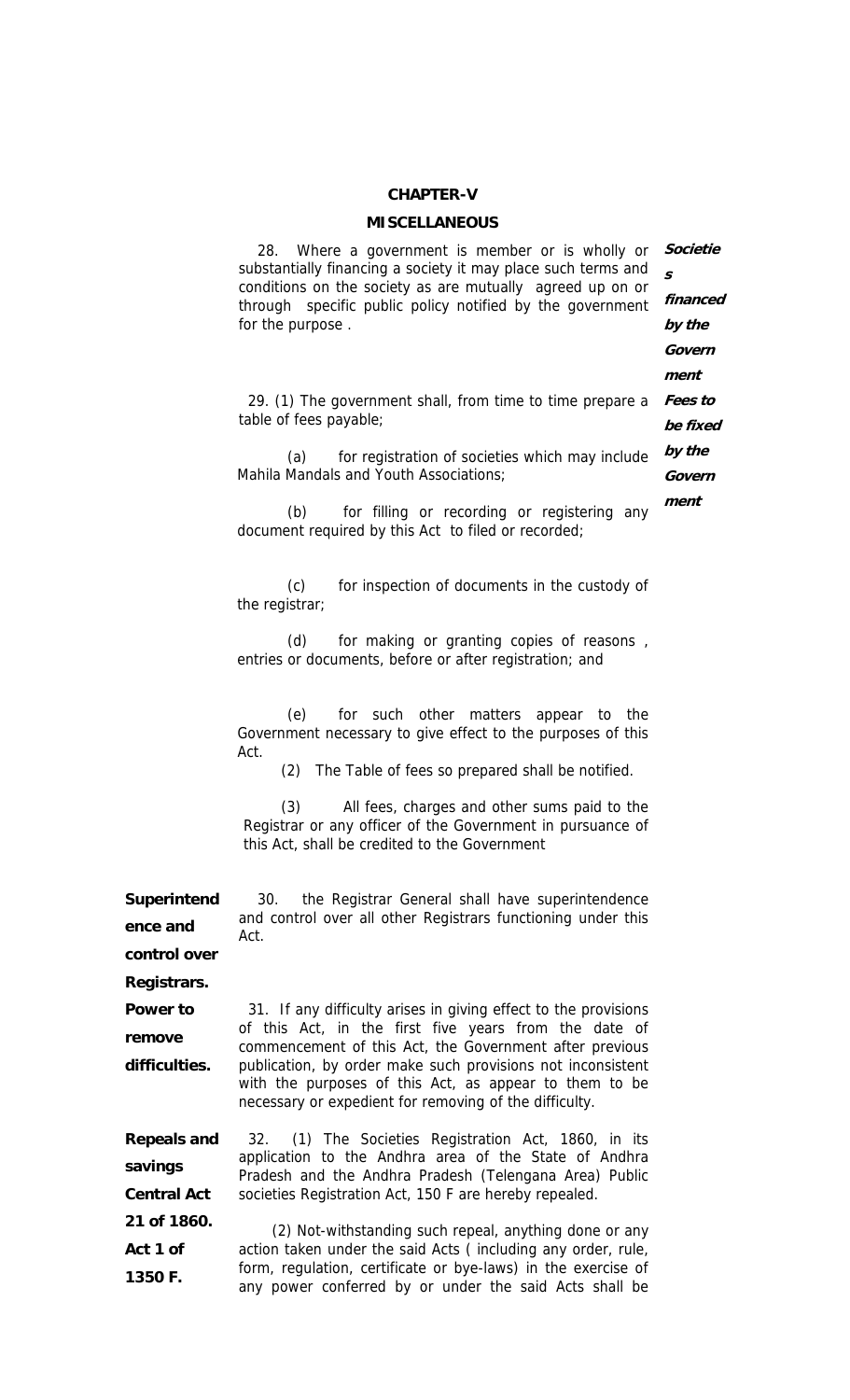#### **CHAPTER-V**

#### **MISCELLANEOUS**

| Where a government is member or is wholly or<br>28.<br>substantially financing a society it may place such terms and<br>conditions on the society as are mutually agreed up on or<br>through specific public policy notified by the government<br>for the purpose. | Societie<br>$\mathbf{s}$<br>financed<br>by the |
|--------------------------------------------------------------------------------------------------------------------------------------------------------------------------------------------------------------------------------------------------------------------|------------------------------------------------|
|                                                                                                                                                                                                                                                                    | Govern                                         |
| 29. (1) The government shall, from time to time prepare a                                                                                                                                                                                                          | ment<br>Fees to                                |
| table of fees payable;                                                                                                                                                                                                                                             | be fixed                                       |
| for registration of societies which may include<br>(a)                                                                                                                                                                                                             | by the                                         |
| Mahila Mandals and Youth Associations;                                                                                                                                                                                                                             | Govern                                         |
| for filling or recording or registering any<br>(b)<br>document required by this Act to filed or recorded;                                                                                                                                                          | ment                                           |
| for inspection of documents in the custody of<br>(c)<br>the registrar;                                                                                                                                                                                             |                                                |
| for making or granting copies of reasons,<br>(d)<br>entries or documents, before or after registration; and                                                                                                                                                        |                                                |
| (e)<br>for such other matters appear to the<br>Government necessary to give effect to the purposes of this<br>Act.<br>The Table of fees so prepared shall be notified.<br>(2)                                                                                      |                                                |

(3) All fees, charges and other sums paid to the Registrar or any officer of the Government in pursuance of this Act, shall be credited to the Government

**Superintend ence and**  30. the Registrar General shall have superintendence and control over all other Registrars functioning under this Act.

**control over Registrars.** 

**Power to remove difficulties.**  31. If any difficulty arises in giving effect to the provisions of this Act, in the first five years from the date of commencement of this Act, the Government after previous publication, by order make such provisions not inconsistent with the purposes of this Act, as appear to them to be necessary or expedient for removing of the difficulty.

**Repeals and savings Central Act 21 of 1860.**  32. (1) The Societies Registration Act, 1860, in its application to the Andhra area of the State of Andhra Pradesh and the Andhra Pradesh (Telengana Area) Public societies Registration Act, 150 F are hereby repealed. (2) Not-withstanding such repeal, anything done or any

**Act 1 of 1350 F.**  action taken under the said Acts ( including any order, rule, form, regulation, certificate or bye-laws) in the exercise of any power conferred by or under the said Acts shall be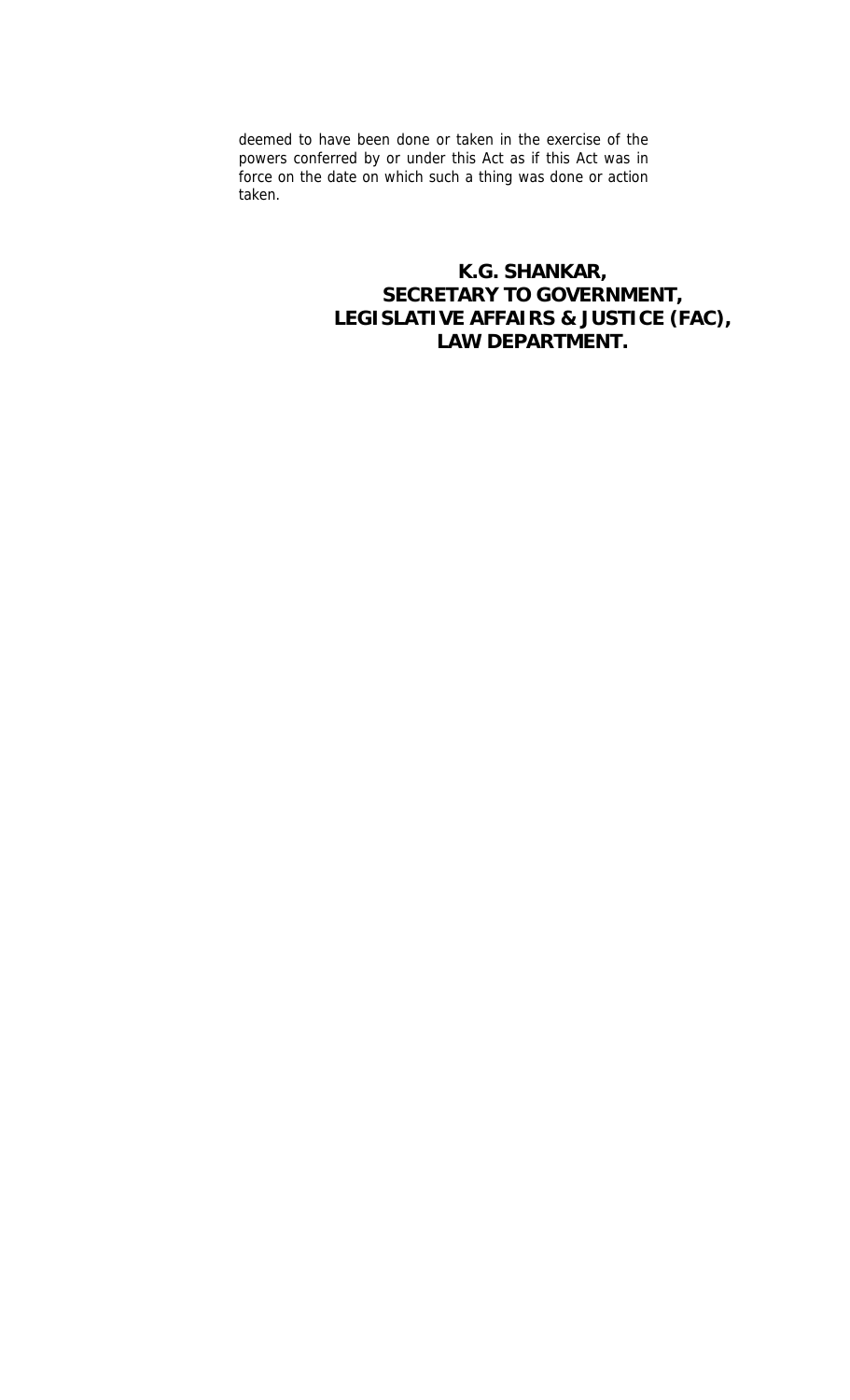deemed to have been done or taken in the exercise of the powers conferred by or under this Act as if this Act was in force on the date on which such a thing was done or action taken.

> **K.G. SHANKAR, SECRETARY TO GOVERNMENT, LEGISLATIVE AFFAIRS & JUSTICE (FAC), LAW DEPARTMENT.**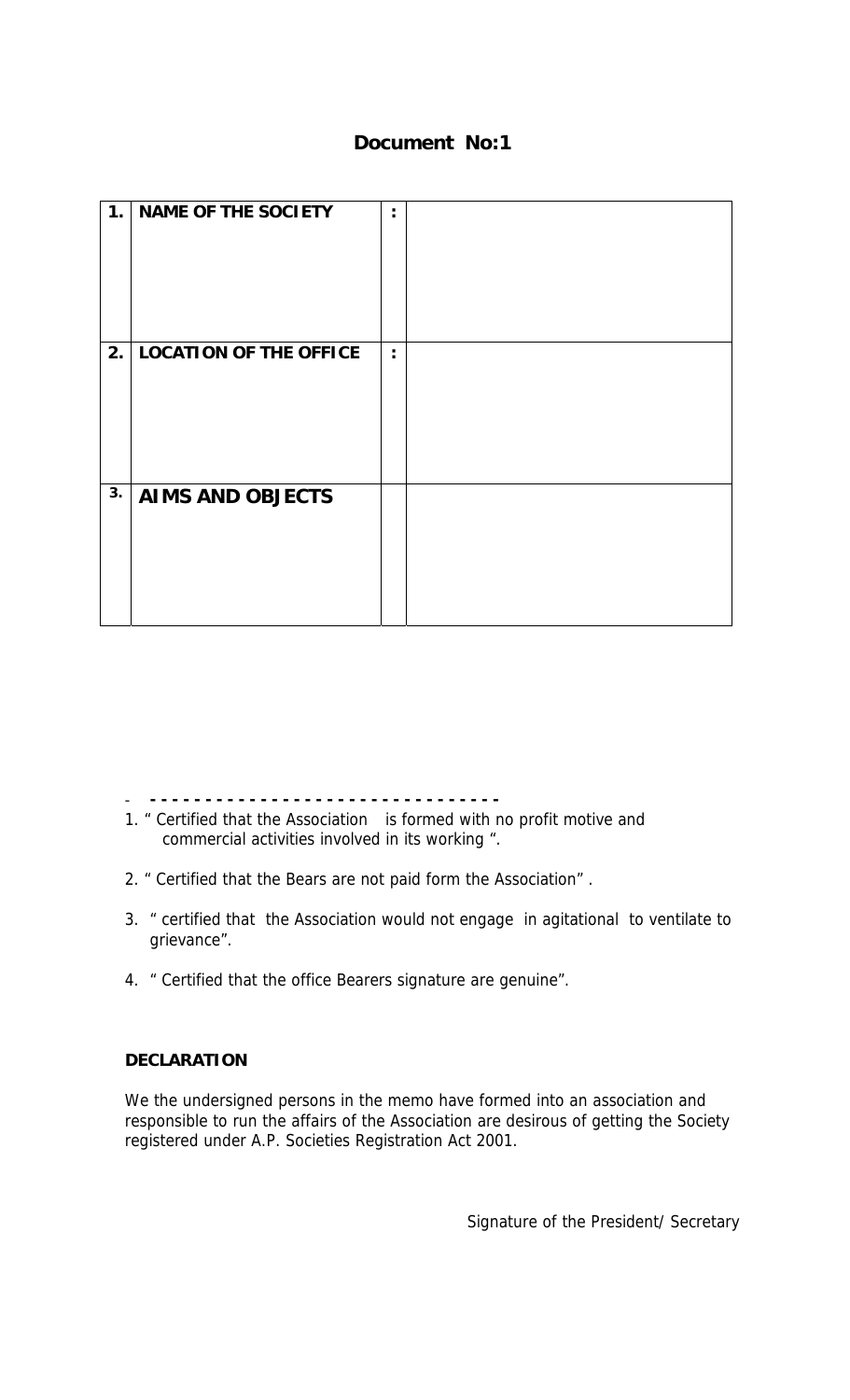# **Document No:1**

| 1.1 | <b>NAME OF THE SOCIETY</b> | ٠              |  |
|-----|----------------------------|----------------|--|
|     | 2. LOCATION OF THE OFFICE  | $\ddot{\cdot}$ |  |
| 3.  | <b>AIMS AND OBJECTS</b>    |                |  |

- **- - - - - - - - - - - - - - - - - - - - - - - - - - - - - - - -** 

- 1. " Certified that the Association is formed with no profit motive and commercial activities involved in its working ".
- 2. " Certified that the Bears are not paid form the Association" .
- 3. " certified that the Association would not engage in agitational to ventilate to grievance".
- 4. " Certified that the office Bearers signature are genuine".

### **DECLARATION**

We the undersigned persons in the memo have formed into an association and responsible to run the affairs of the Association are desirous of getting the Society registered under A.P. Societies Registration Act 2001.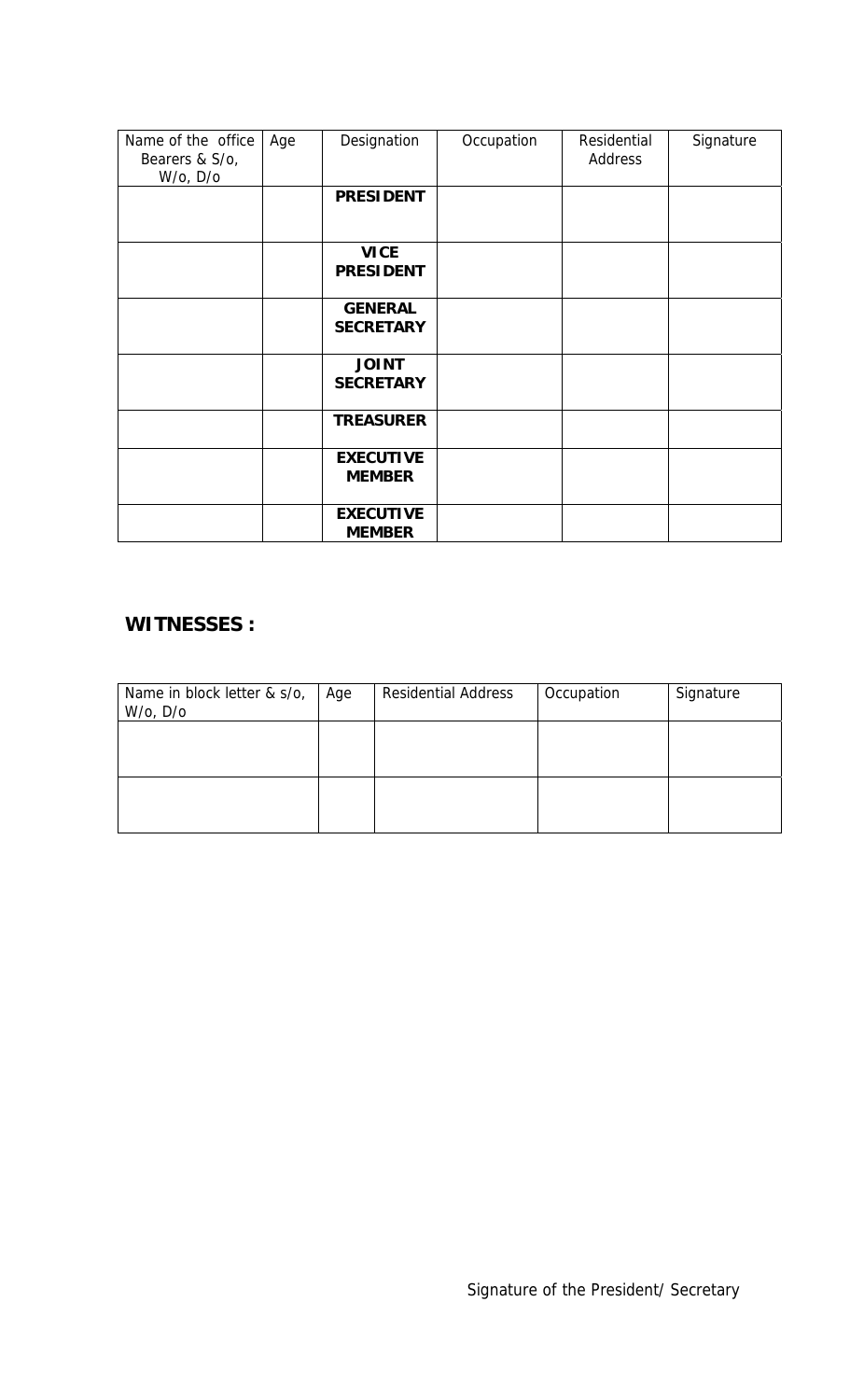| Name of the office<br>Bearers & S/o,<br>W/o, D/o | Age | Designation                        | Occupation | Residential<br>Address | Signature |
|--------------------------------------------------|-----|------------------------------------|------------|------------------------|-----------|
|                                                  |     | <b>PRESIDENT</b>                   |            |                        |           |
|                                                  |     | <b>VICE</b><br><b>PRESIDENT</b>    |            |                        |           |
|                                                  |     | <b>GENERAL</b><br><b>SECRETARY</b> |            |                        |           |
|                                                  |     | <b>JOINT</b><br><b>SECRETARY</b>   |            |                        |           |
|                                                  |     | <b>TREASURER</b>                   |            |                        |           |
|                                                  |     | <b>EXECUTIVE</b><br><b>MEMBER</b>  |            |                        |           |
|                                                  |     | <b>EXECUTIVE</b><br><b>MEMBER</b>  |            |                        |           |

## **WITNESSES :**

| Name in block letter & s/o,<br>W/o, D/o | Age | <b>Residential Address</b> | Occupation | Signature |
|-----------------------------------------|-----|----------------------------|------------|-----------|
|                                         |     |                            |            |           |
|                                         |     |                            |            |           |
|                                         |     |                            |            |           |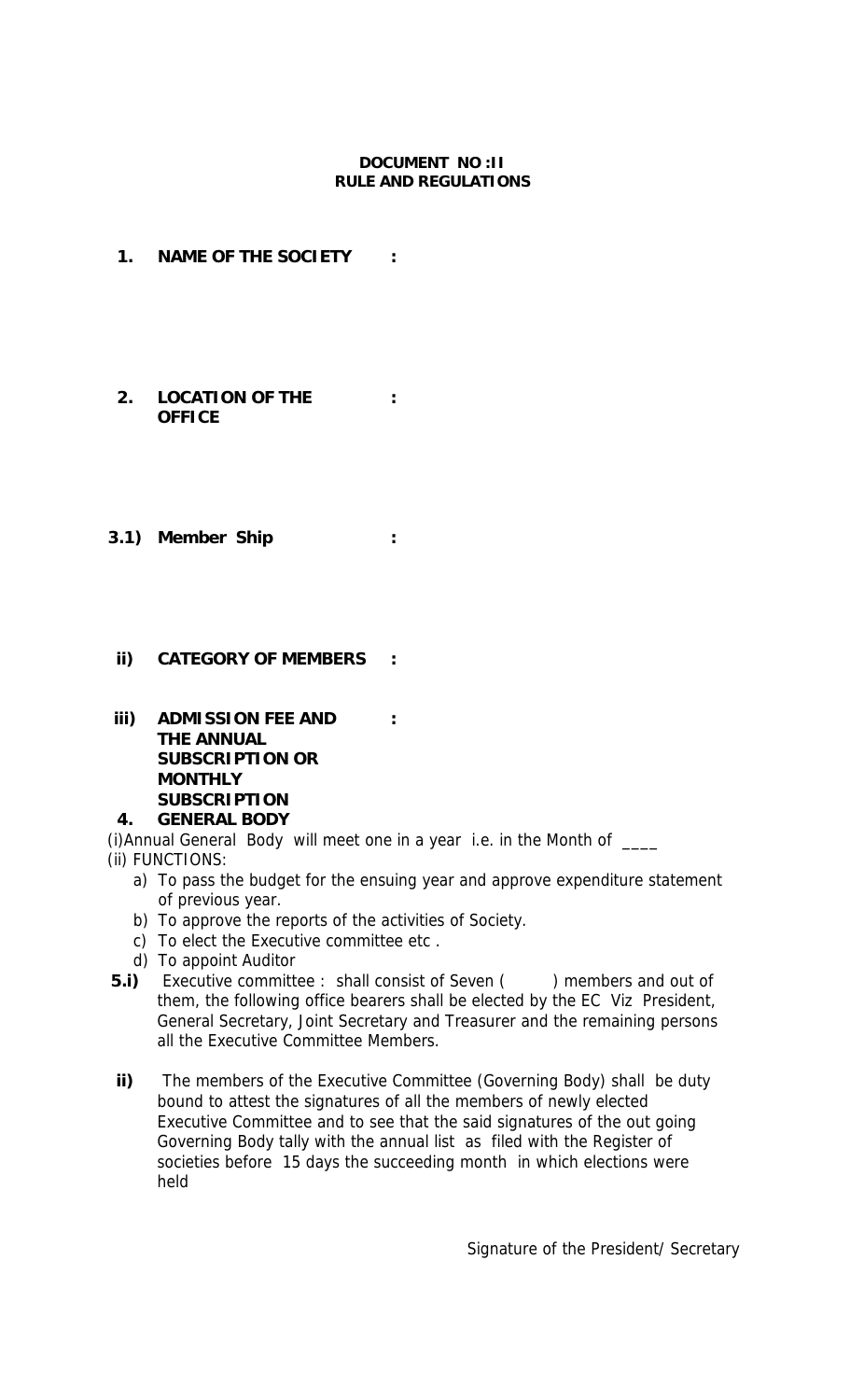### **DOCUMENT NO :II RULE AND REGULATIONS**

**:**

- **1. NAME OF THE SOCIETY :**
- **2. LOCATION OF THE OFFICE**
- **3.1) Member Ship :**

### **ii) CATEGORY OF MEMBERS :**

**iii) ADMISSION FEE AND THE ANNUAL SUBSCRIPTION OR MONTHLY SUBSCRIPTION : 4. GENERAL BODY** 

(i)Annual General Body will meet one in a year i.e. in the Month of \_\_\_\_ (ii) FUNCTIONS:

- a) To pass the budget for the ensuing year and approve expenditure statement of previous year.
- b) To approve the reports of the activities of Society.
- c) To elect the Executive committee etc .
- d) To appoint Auditor
- **5.i)**  Executive committee : shall consist of Seven () members and out of them, the following office bearers shall be elected by the EC Viz President, General Secretary, Joint Secretary and Treasurer and the remaining persons all the Executive Committee Members.
- **ii)**  The members of the Executive Committee (Governing Body) shall be duty bound to attest the signatures of all the members of newly elected Executive Committee and to see that the said signatures of the out going Governing Body tally with the annual list as filed with the Register of societies before 15 days the succeeding month in which elections were held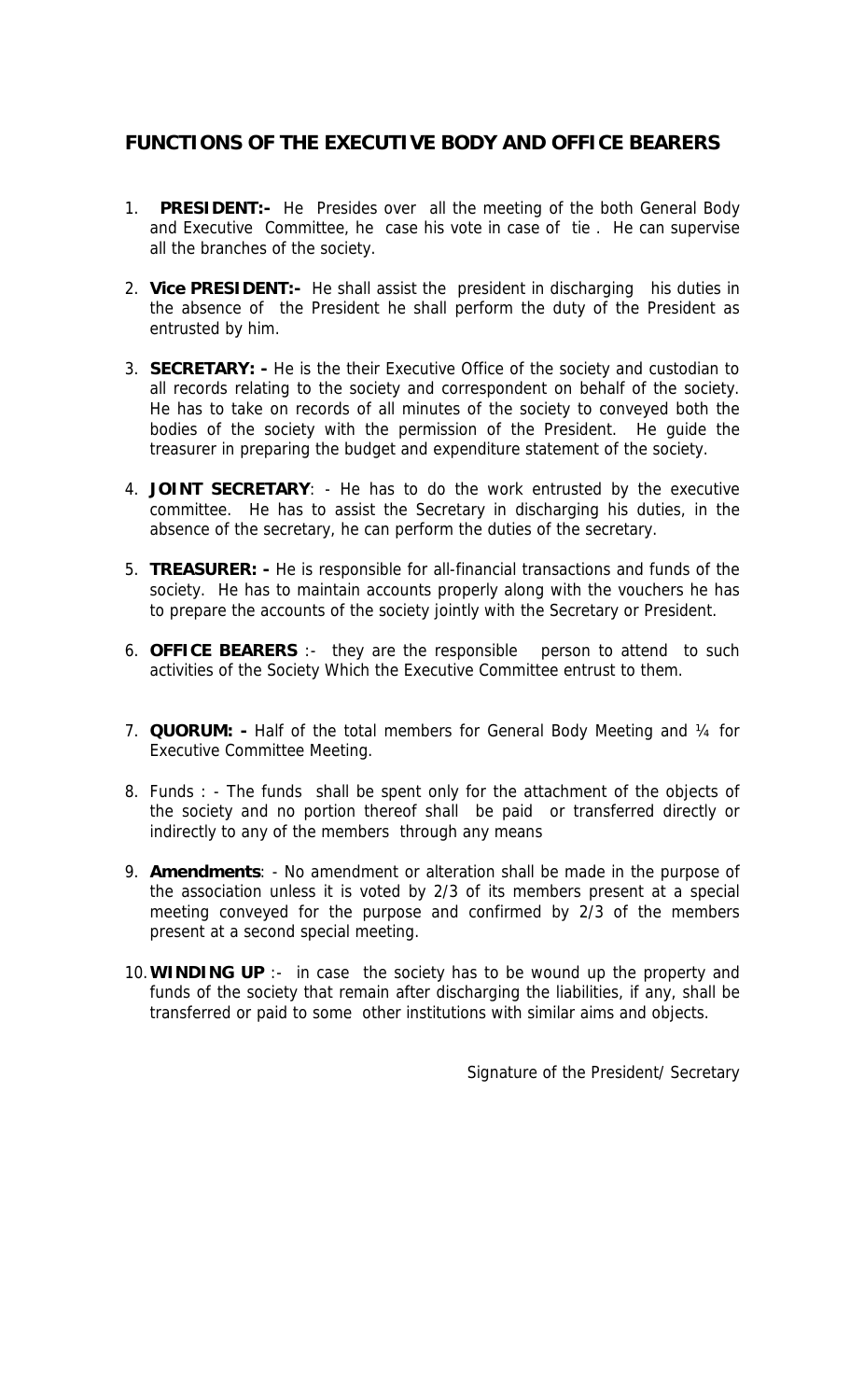# **FUNCTIONS OF THE EXECUTIVE BODY AND OFFICE BEARERS**

- 1. **PRESIDENT:-** He Presides over all the meeting of the both General Body and Executive Committee, he case his vote in case of tie . He can supervise all the branches of the society.
- 2. **Vice PRESIDENT:-** He shall assist the president in discharging his duties in the absence of the President he shall perform the duty of the President as entrusted by him.
- 3. **SECRETARY: -** He is the their Executive Office of the society and custodian to all records relating to the society and correspondent on behalf of the society. He has to take on records of all minutes of the society to conveyed both the bodies of the society with the permission of the President. He guide the treasurer in preparing the budget and expenditure statement of the society.
- 4. **JOINT SECRETARY**: He has to do the work entrusted by the executive committee. He has to assist the Secretary in discharging his duties, in the absence of the secretary, he can perform the duties of the secretary.
- 5. **TREASURER: -** He is responsible for all-financial transactions and funds of the society. He has to maintain accounts properly along with the vouchers he has to prepare the accounts of the society jointly with the Secretary or President.
- 6. **OFFICE BEARERS** :- they are the responsible person to attend to such activities of the Society Which the Executive Committee entrust to them.
- 7. **QUORUM:** Half of the total members for General Body Meeting and ¼ for Executive Committee Meeting.
- 8. Funds : The funds shall be spent only for the attachment of the objects of the society and no portion thereof shall be paid or transferred directly or indirectly to any of the members through any means
- 9. **Amendments**: No amendment or alteration shall be made in the purpose of the association unless it is voted by 2/3 of its members present at a special meeting conveyed for the purpose and confirmed by 2/3 of the members present at a second special meeting.
- 10.**WINDING UP** :- in case the society has to be wound up the property and funds of the society that remain after discharging the liabilities, if any, shall be transferred or paid to some other institutions with similar aims and objects.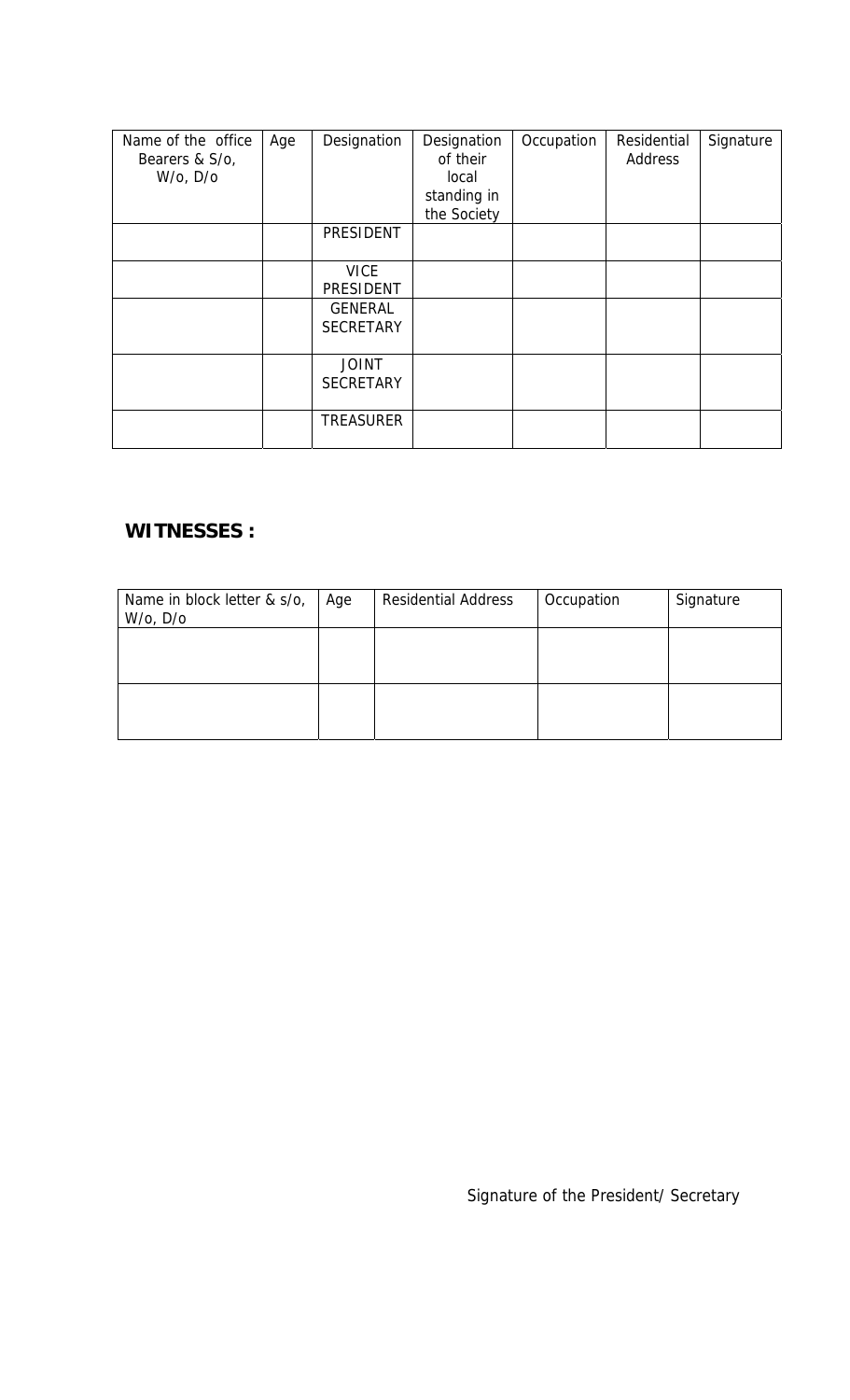| Name of the office<br>Bearers & S/o,<br>$W$ /o, $D$ /o | Age | Designation                        | Designation<br>of their<br>local<br>standing in<br>the Society | Occupation | Residential<br>Address | Signature |
|--------------------------------------------------------|-----|------------------------------------|----------------------------------------------------------------|------------|------------------------|-----------|
|                                                        |     | <b>PRESIDENT</b>                   |                                                                |            |                        |           |
|                                                        |     | <b>VICE</b><br><b>PRESIDENT</b>    |                                                                |            |                        |           |
|                                                        |     | <b>GENERAL</b><br><b>SECRETARY</b> |                                                                |            |                        |           |
|                                                        |     | <b>JOINT</b><br><b>SECRETARY</b>   |                                                                |            |                        |           |
|                                                        |     | <b>TREASURER</b>                   |                                                                |            |                        |           |

# **WITNESSES :**

| Name in block letter & s/o,<br>$W$ /o, $D$ /o | Age | <b>Residential Address</b> | Occupation | Signature |
|-----------------------------------------------|-----|----------------------------|------------|-----------|
|                                               |     |                            |            |           |
|                                               |     |                            |            |           |